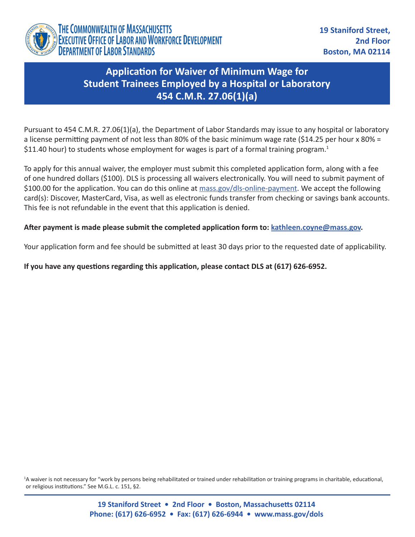

## **Application for Waiver of Minimum Wage for Student Trainees Employed by a Hospital or Laboratory 454 C.M.R. 27.06(1)(a)**

Pursuant to 454 C.M.R. 27.06(1)(a), the Department of Labor Standards may issue to any hospital or laboratory a license permitting payment of not less than 80% of the basic minimum wage rate (\$14.25 per hour x 80% = \$11.40 hour) to students whose employment for wages is part of a formal training program.<sup>1</sup>

To apply for this annual waiver, the employer must submit this completed application form, along with a fee of one hundred dollars (\$100). DLS is processing all waivers electronically. You will need to submit payment of \$100.00 for the application. You can do this online at [mass.gov/dls-online-payment.](http://mass.gov/dls-online-payment) We accept the following card(s): Discover, MasterCard, Visa, as well as electronic funds transfer from checking or savings bank accounts. This fee is not refundable in the event that this application is denied.

## **After payment is made please submit the completed application form to: [kathleen.coyne@mass.gov](mailto:kathleen.coyne@mass.gov).**

Your application form and fee should be submitted at least 30 days prior to the requested date of applicability.

**If you have any questions regarding this application, please contact DLS at (617) 626-6952.**

<sup>1</sup>A waiver is not necessary for "work by persons being rehabilitated or trained under rehabilitation or training programs in charitable, educational, or religious institutions." See M.G.L. c. 151, §2.